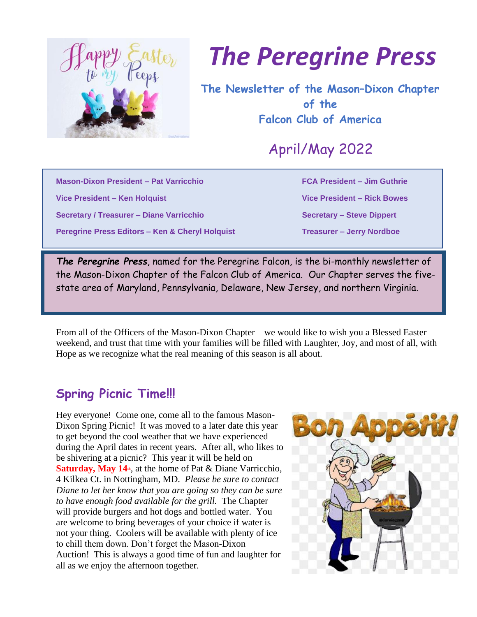

## *The Peregrine Press*

**The Newsletter of the Mason–Dixon Chapter of the Falcon Club of America**

April/May 2022

**Mason-Dixon President – Pat Varricchio FCA President – Jim Guthrie**

**Secretary / Treasurer – Diane Varricchio Secretary – Steve Dippert** 

**Peregrine Press Editors – Ken & Cheryl Holquist Treasurer – Jerry Nordboe** 

**Vice President – Ken Holquist Vice President – Rick Bowes**

*The Peregrine Press*, named for the Peregrine Falcon, is the bi-monthly newsletter of the Mason-Dixon Chapter of the Falcon Club of America. Our Chapter serves the fivestate area of Maryland, Pennsylvania, Delaware, New Jersey, and northern Virginia.

From all of the Officers of the Mason-Dixon Chapter – we would like to wish you a Blessed Easter weekend, and trust that time with your families will be filled with Laughter, Joy, and most of all, with Hope as we recognize what the real meaning of this season is all about.

## **Spring Picnic Time!!!**

Hey everyone! Come one, come all to the famous Mason-Dixon Spring Picnic! It was moved to a later date this year to get beyond the cool weather that we have experienced during the April dates in recent years. After all, who likes to be shivering at a picnic? This year it will be held on **Saturday, May 14<sup>th</sup>**, at the home of Pat & Diane Varricchio, 4 Kilkea Ct. in Nottingham, MD. *Please be sure to contact Diane to let her know that you are going so they can be sure to have enough food available for the grill.* The Chapter will provide burgers and hot dogs and bottled water. You are welcome to bring beverages of your choice if water is not your thing. Coolers will be available with plenty of ice to chill them down. Don't forget the Mason-Dixon Auction! This is always a good time of fun and laughter for all as we enjoy the afternoon together.

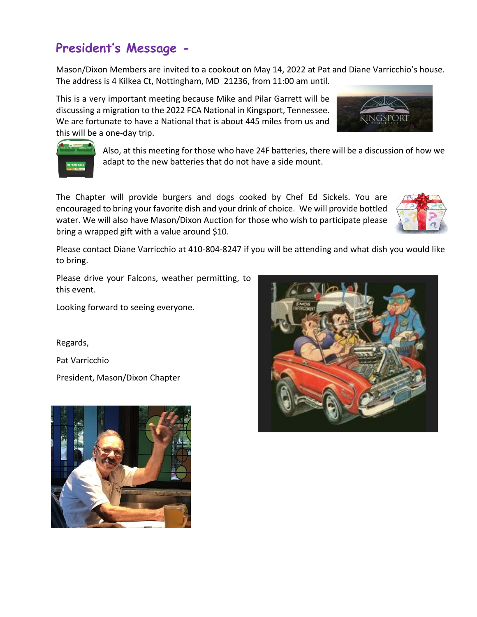## **President's Message -**

Mason/Dixon Members are invited to a cookout on May 14, 2022 at Pat and Diane Varricchio's house. The address is 4 Kilkea Ct, Nottingham, MD 21236, from 11:00 am until.

This is a very important meeting because Mike and Pilar Garrett will be discussing a migration to the 2022 FCA National in Kingsport, Tennessee. We are fortunate to have a National that is about 445 miles from us and this will be a one-day trip.

> Also, at this meeting for those who have 24F batteries, there will be a discussion of how we adapt to the new batteries that do not have a side mount.

The Chapter will provide burgers and dogs cooked by Chef Ed Sickels. You are encouraged to bring your favorite dish and your drink of choice. We will provide bottled water. We will also have Mason/Dixon Auction for those who wish to participate please bring a wrapped gift with a value around \$10.

Please contact Diane Varricchio at 410-804-8247 if you will be attending and what dish you would like to bring.

Please drive your Falcons, weather permitting, to this event.

Looking forward to seeing everyone.

Regards,

Pat Varricchio

President, Mason/Dixon Chapter







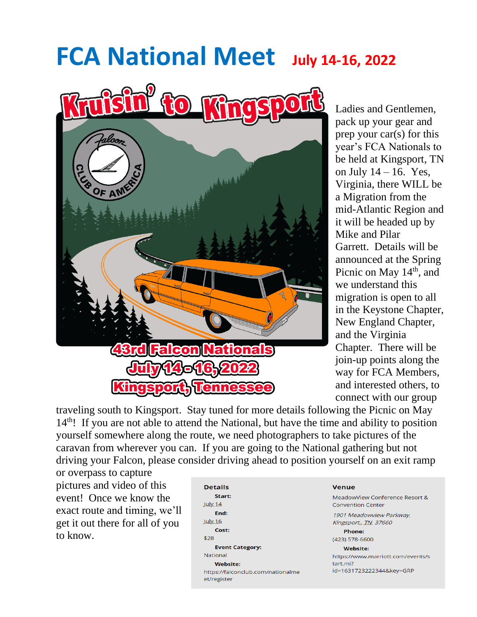# **FCA National Meet July 14-16, 2022**



Ladies and Gentlemen, pack up your gear and prep your car(s) for this year's FCA Nationals to be held at Kingsport, TN on July  $14 - 16$ . Yes, Virginia, there WILL be a Migration from the mid-Atlantic Region and it will be headed up by Mike and Pilar Garrett. Details will be announced at the Spring Picnic on May 14<sup>th</sup>, and we understand this migration is open to all in the Keystone Chapter, New England Chapter, and the Virginia Chapter. There will be join-up points along the way for FCA Members, and interested others, to connect with our group

traveling south to Kingsport. Stay tuned for more details following the Picnic on May  $14<sup>th</sup>$ ! If you are not able to attend the National, but have the time and ability to position yourself somewhere along the route, we need photographers to take pictures of the caravan from wherever you can. If you are going to the National gathering but not driving your Falcon, please consider driving ahead to position yourself on an exit ramp

or overpass to capture pictures and video of this event! Once we know the exact route and timing, we'll get it out there for all of you to know.

| <b>Details</b>                                   |
|--------------------------------------------------|
| Start:                                           |
| July.14                                          |
| End:                                             |
| <b>July 16</b>                                   |
| Cost:                                            |
| \$28                                             |
| <b>Event Category:</b>                           |
| <b>National</b>                                  |
| <b>Website:</b>                                  |
| https://falconclub.com/nationalme<br>et/register |

#### **Venue**

MeadowView Conference Resort & **Convention Center** 1901 Meadowyjew Parkway.

Kingsport,, TN, 37660 Phone:

#### $(423) 578 - 6600$

**Website:** 

https://www.marriott.com/events/s tart.mi? id=1631723222344&key=GRP